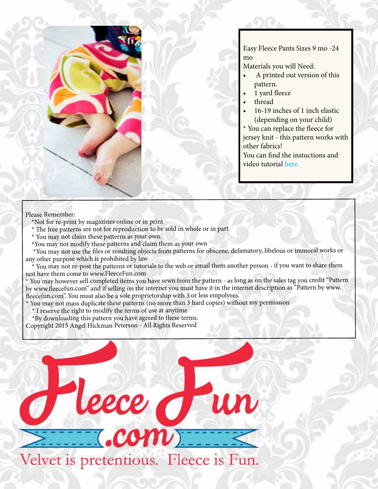

Easy Fleece Pants Sizes 9 mo -24 mo

Materials you will Need:

- A printed out version of this pattern.
- 1 yard fleece
- thread
- 16-19 inches of 1 inch elastic (depending on your child)
- \* You can replace the fleece for jersey knit - this pattern works with other fabrics!

You can find the instuctions and video tutorial here.

### Please Remember:

- \*Not for re-print by magazines online or in print
- \* The free patterns are not for reproduction to be sold in whole or in part.
- \* You may not claim these patterns as your own.
- \*You may not modify these patterns and claim them as your own

 \*You may not use the files or resulting objects from patterns for obscene, defamatory, libelous or immoral works or any other purpose which is prohibited by law.

You may not re-post the patterns or tutorials to the web or email them another person - if you want to share them just have them come to www.FleeceFun.com

You may however sell completed items you have sewn from the pattern - as long as on the sales tag you credit "Pattern by www.fleecefun.com" and if selling on the internet you must have it in the internet description as "Pattern by www. fleecefun.com". You must also be a sole proprietorship with 3 or less empolyees.

\* You may not mass duplicate these patterns (no more than 3 hard copies) without my permission

\* I reserve the right to modify the terms of use at anytime

\*By downloading this pattern you have agreed to these terms.

Copyright 2015 Angel Hickman Peterson - All Rights Reserved

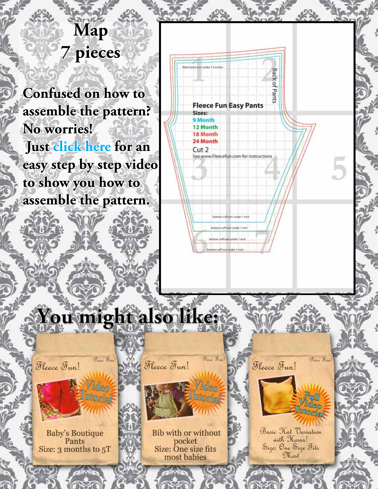## **Map 7 pieces**

**Confused on how to assemble the pattern? No worries! Just click here for an easy step by step video to show you how to assemble the pattern.**



tom cuff turn under 1 inch

# You might also like:

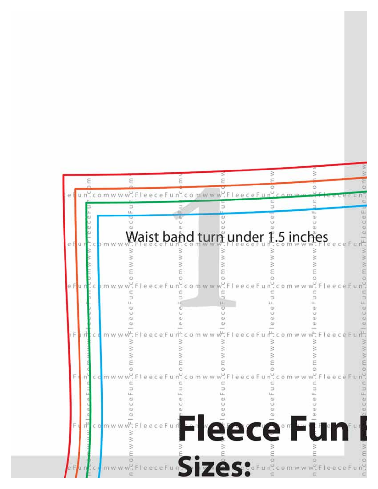|  |    |  |   |   | comwww.FleeceFun.comwww.FleeceFun |                                  |              |  |
|--|----|--|---|---|-----------------------------------|----------------------------------|--------------|--|
|  |    |  | コ |   |                                   |                                  |              |  |
|  |    |  |   | ω | Ü<br>$\omega$                     |                                  |              |  |
|  |    |  |   |   |                                   | Waist band turn under 1.5 inches |              |  |
|  |    |  |   |   |                                   |                                  |              |  |
|  |    |  |   |   |                                   |                                  |              |  |
|  |    |  |   |   |                                   |                                  |              |  |
|  |    |  |   |   |                                   |                                  |              |  |
|  |    |  |   |   |                                   |                                  |              |  |
|  |    |  |   |   |                                   |                                  |              |  |
|  |    |  |   |   |                                   |                                  |              |  |
|  |    |  |   |   |                                   |                                  |              |  |
|  |    |  |   |   |                                   |                                  |              |  |
|  |    |  |   |   |                                   |                                  |              |  |
|  |    |  |   |   |                                   |                                  |              |  |
|  |    |  |   |   |                                   |                                  |              |  |
|  |    |  |   |   |                                   |                                  |              |  |
|  |    |  |   |   |                                   |                                  |              |  |
|  |    |  |   |   |                                   |                                  | Fleece Fun I |  |
|  | CO |  |   |   |                                   |                                  |              |  |
|  |    |  |   |   |                                   |                                  |              |  |
|  |    |  |   |   |                                   |                                  |              |  |
|  |    |  |   |   | es                                |                                  |              |  |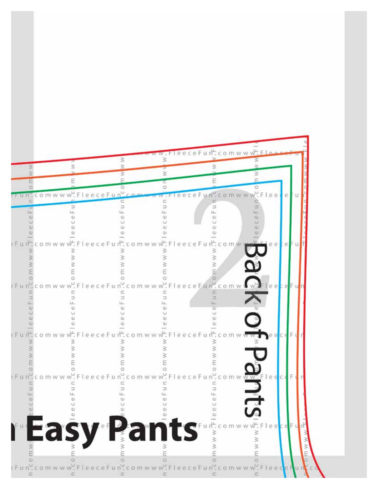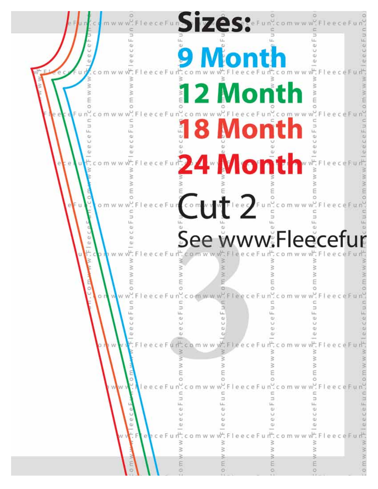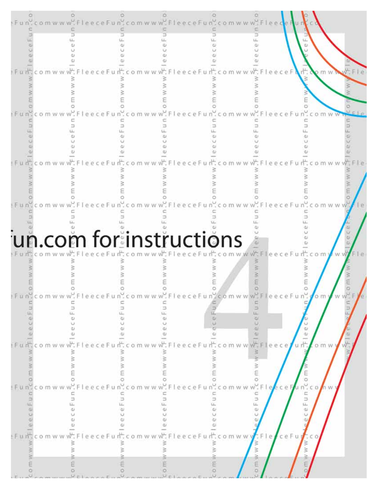|        |                                                          | un.com for instructions                                    |                                      |                  |
|--------|----------------------------------------------------------|------------------------------------------------------------|--------------------------------------|------------------|
|        |                                                          |                                                            |                                      |                  |
|        | eeceFun.c                                                | om w w w F<br>eeceF                                        | O<br>un'comwww"<br>eecei             |                  |
| omwww. | c<br>$\overline{\phantom{a}}$<br>Ξ<br>t.L.<br>LL.<br>äD. | ш                                                          | u n<br>LL.<br>dr.<br>ω               | omy<br>W W       |
|        | ω<br>QJ.<br><b>U</b><br>cu.<br>ď.                        |                                                            | $\frac{\omega}{\omega}$<br>u n".     | ω<br><b>U</b>    |
| m w    | eeceFu<br>≧<br>3<br>₹<br>₿<br>š                          | Fleece<br>o m w w<br>≋                                     | o m w<br>W W<br>ż                    | o m w            |
|        | E                                                        | n <sup>9</sup> com w w w Fleece Fun . com w w w Fleece Fun | $C$ comww<br>FleeceF                 | C D              |
|        |                                                          |                                                            |                                      |                  |
|        | z3<br>Ь<br>d3<br>öΰ                                      | ÷.                                                         | c<br>$\Rightarrow$<br>s.<br>LL.<br>ψ | n n              |
| COMWW  | Œ)<br>C)<br>ω<br>ω<br>w.<br>FleeceFu                     | it:comww<br>w.FleeceF                                      | ω<br>$F =  e $<br>ce Fu              | : C <sub>0</sub> |
|        |                                                          |                                                            | I W W                                |                  |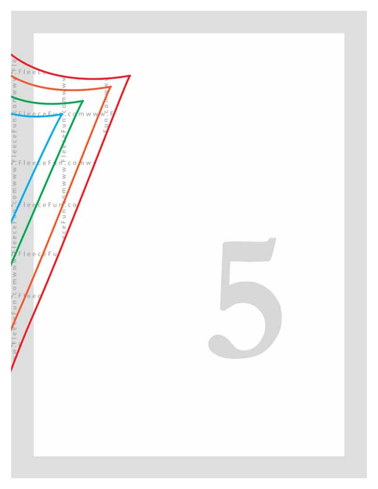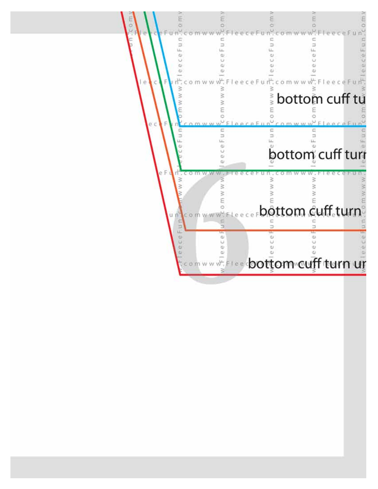